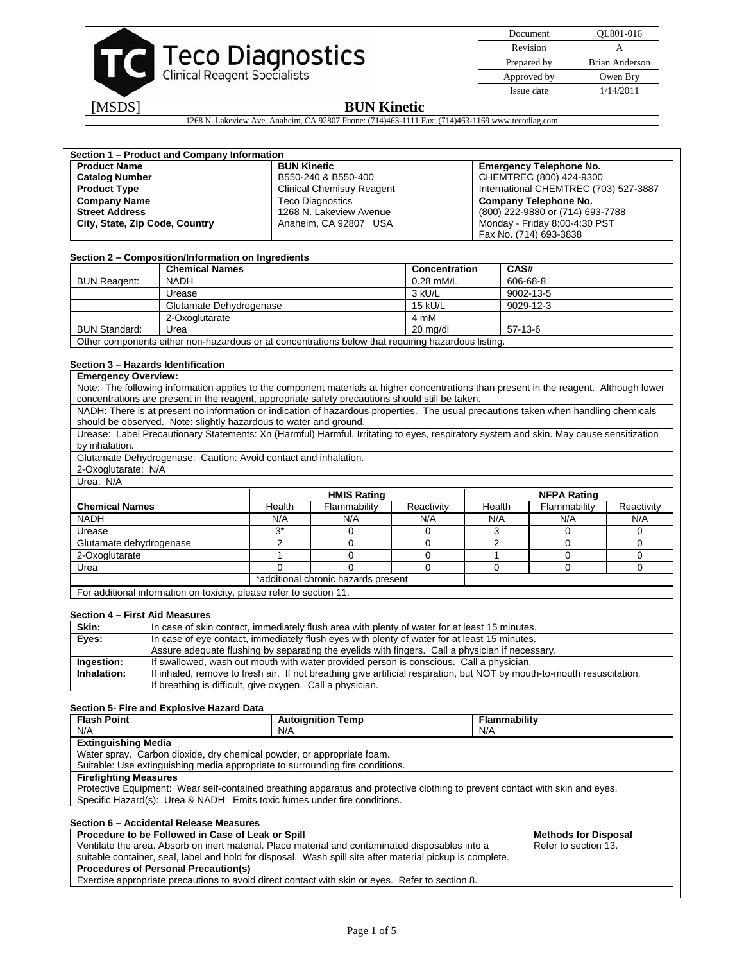

[MSDS] **BUN Kinetic** 

1268 N. Lakeview Ave. Anaheim, CA 92807 Phone: (714)463-1111 Fax: (714)463-1169 www.tecodiag.com

| <b>Product Name</b>                                | Section 1 - Product and Company Information                                                                                                    |                         |                                     |                |                                       |                                                                                                                                         |            |
|----------------------------------------------------|------------------------------------------------------------------------------------------------------------------------------------------------|-------------------------|-------------------------------------|----------------|---------------------------------------|-----------------------------------------------------------------------------------------------------------------------------------------|------------|
|                                                    |                                                                                                                                                | <b>BUN Kinetic</b>      |                                     |                |                                       | <b>Emergency Telephone No.</b>                                                                                                          |            |
| <b>Catalog Number</b>                              |                                                                                                                                                | B550-240 & B550-400     |                                     |                | CHEMTREC (800) 424-9300               |                                                                                                                                         |            |
|                                                    | <b>Product Type</b><br><b>Clinical Chemistry Reagent</b>                                                                                       |                         |                                     |                | International CHEMTREC (703) 527-3887 |                                                                                                                                         |            |
|                                                    | <b>Company Name</b><br><b>Teco Diagnostics</b>                                                                                                 |                         |                                     |                | <b>Company Telephone No.</b>          |                                                                                                                                         |            |
| <b>Street Address</b>                              |                                                                                                                                                | 1268 N. Lakeview Avenue |                                     |                | (800) 222-9880 or (714) 693-7788      |                                                                                                                                         |            |
| City, State, Zip Code, Country                     |                                                                                                                                                | Anaheim. CA 92807 USA   |                                     |                | Monday - Friday 8:00-4:30 PST         |                                                                                                                                         |            |
|                                                    |                                                                                                                                                |                         |                                     |                | Fax No. (714) 693-3838                |                                                                                                                                         |            |
|                                                    |                                                                                                                                                |                         |                                     |                |                                       |                                                                                                                                         |            |
| Section 2 - Composition/Information on Ingredients |                                                                                                                                                |                         |                                     |                |                                       |                                                                                                                                         |            |
|                                                    | <b>Chemical Names</b>                                                                                                                          |                         | <b>Concentration</b><br>CAS#        |                |                                       |                                                                                                                                         |            |
| <b>BUN Reagent:</b>                                | <b>NADH</b>                                                                                                                                    |                         |                                     | 0.28 mM/L      | 606-68-8                              |                                                                                                                                         |            |
|                                                    | Urease                                                                                                                                         |                         |                                     | 3 kU/L         | 9002-13-5                             |                                                                                                                                         |            |
|                                                    | Glutamate Dehydrogenase                                                                                                                        |                         |                                     | <b>15 kU/L</b> |                                       | 9029-12-3                                                                                                                               |            |
|                                                    | 2-Oxoglutarate                                                                                                                                 |                         |                                     | 4 mM           |                                       |                                                                                                                                         |            |
| <b>BUN Standard:</b>                               | Urea                                                                                                                                           |                         |                                     | 20 mg/dl       |                                       | $57-13-6$                                                                                                                               |            |
|                                                    | Other components either non-hazardous or at concentrations below that requiring hazardous listing.                                             |                         |                                     |                |                                       |                                                                                                                                         |            |
|                                                    |                                                                                                                                                |                         |                                     |                |                                       |                                                                                                                                         |            |
| Section 3 – Hazards Identification                 |                                                                                                                                                |                         |                                     |                |                                       |                                                                                                                                         |            |
| <b>Emergency Overview:</b>                         |                                                                                                                                                |                         |                                     |                |                                       |                                                                                                                                         |            |
|                                                    |                                                                                                                                                |                         |                                     |                |                                       | Note: The following information applies to the component materials at higher concentrations than present in the reagent. Although lower |            |
|                                                    | concentrations are present in the reagent, appropriate safety precautions should still be taken.                                               |                         |                                     |                |                                       |                                                                                                                                         |            |
|                                                    |                                                                                                                                                |                         |                                     |                |                                       | NADH: There is at present no information or indication of hazardous properties. The usual precautions taken when handling chemicals     |            |
|                                                    | should be observed. Note: slightly hazardous to water and ground.                                                                              |                         |                                     |                |                                       |                                                                                                                                         |            |
|                                                    |                                                                                                                                                |                         |                                     |                |                                       | Urease: Label Precautionary Statements: Xn (Harmful) Harmful. Irritating to eyes, respiratory system and skin. May cause sensitization  |            |
| by inhalation.                                     |                                                                                                                                                |                         |                                     |                |                                       |                                                                                                                                         |            |
|                                                    | Glutamate Dehydrogenase: Caution: Avoid contact and inhalation.                                                                                |                         |                                     |                |                                       |                                                                                                                                         |            |
| 2-Oxoglutarate: N/A                                |                                                                                                                                                |                         |                                     |                |                                       |                                                                                                                                         |            |
| Urea: N/A                                          |                                                                                                                                                |                         |                                     |                |                                       |                                                                                                                                         |            |
|                                                    |                                                                                                                                                |                         |                                     |                |                                       |                                                                                                                                         |            |
|                                                    |                                                                                                                                                |                         | <b>HMIS Rating</b>                  |                |                                       | <b>NFPA Rating</b>                                                                                                                      |            |
| <b>Chemical Names</b>                              |                                                                                                                                                | Health                  | Flammability                        | Reactivity     | Health                                | Flammability                                                                                                                            | Reactivity |
| <b>NADH</b>                                        |                                                                                                                                                | N/A                     | N/A                                 | N/A            | N/A                                   | N/A                                                                                                                                     | N/A        |
| Urease                                             |                                                                                                                                                | $3*$                    | $\mathbf 0$                         | 0              | 3                                     | 0                                                                                                                                       | 0          |
| Glutamate dehydrogenase                            |                                                                                                                                                | 2                       | 0                                   | 0              | 2                                     | $\mathbf 0$                                                                                                                             | 0          |
| 2-Oxoglutarate                                     |                                                                                                                                                | 1                       | 0                                   | 0              | $\mathbf{1}$                          | 0                                                                                                                                       | 0          |
| Urea                                               |                                                                                                                                                | 0                       | 0                                   | 0              | 0                                     | $\mathbf 0$                                                                                                                             | 0          |
|                                                    |                                                                                                                                                |                         | *additional chronic hazards present |                |                                       |                                                                                                                                         |            |
|                                                    | For additional information on toxicity, please refer to section 11.                                                                            |                         |                                     |                |                                       |                                                                                                                                         |            |
|                                                    |                                                                                                                                                |                         |                                     |                |                                       |                                                                                                                                         |            |
|                                                    |                                                                                                                                                |                         |                                     |                |                                       |                                                                                                                                         |            |
| Section 4 - First Aid Measures                     |                                                                                                                                                |                         |                                     |                |                                       |                                                                                                                                         |            |
| Skin:                                              | In case of skin contact, immediately flush area with plenty of water for at least 15 minutes.                                                  |                         |                                     |                |                                       |                                                                                                                                         |            |
| Eyes:                                              | In case of eye contact, immediately flush eyes with plenty of water for at least 15 minutes.                                                   |                         |                                     |                |                                       |                                                                                                                                         |            |
|                                                    | Assure adequate flushing by separating the eyelids with fingers. Call a physician if necessary.                                                |                         |                                     |                |                                       |                                                                                                                                         |            |
| Ingestion:                                         | If swallowed, wash out mouth with water provided person is conscious. Call a physician.                                                        |                         |                                     |                |                                       |                                                                                                                                         |            |
| Inhalation:                                        |                                                                                                                                                |                         |                                     |                |                                       | If inhaled, remove to fresh air. If not breathing give artificial respiration, but NOT by mouth-to-mouth resuscitation.                 |            |
|                                                    | If breathing is difficult, give oxygen. Call a physician.                                                                                      |                         |                                     |                |                                       |                                                                                                                                         |            |
|                                                    |                                                                                                                                                |                         |                                     |                |                                       |                                                                                                                                         |            |
| Section 5- Fire and Explosive Hazard Data          |                                                                                                                                                |                         |                                     |                |                                       |                                                                                                                                         |            |
| <b>Flash Point</b>                                 |                                                                                                                                                |                         | <b>Autoignition Temp</b>            |                | Flammability                          |                                                                                                                                         |            |
| N/A                                                |                                                                                                                                                | N/A                     |                                     |                | N/A                                   |                                                                                                                                         |            |
| <b>Extinguishing Media</b>                         |                                                                                                                                                |                         |                                     |                |                                       |                                                                                                                                         |            |
|                                                    | Water spray. Carbon dioxide, dry chemical powder, or appropriate foam.                                                                         |                         |                                     |                |                                       |                                                                                                                                         |            |
|                                                    | Suitable: Use extinguishing media appropriate to surrounding fire conditions.                                                                  |                         |                                     |                |                                       |                                                                                                                                         |            |
| <b>Firefighting Measures</b>                       |                                                                                                                                                |                         |                                     |                |                                       |                                                                                                                                         |            |
|                                                    |                                                                                                                                                |                         |                                     |                |                                       | Protective Equipment: Wear self-contained breathing apparatus and protective clothing to prevent contact with skin and eyes.            |            |
|                                                    | Specific Hazard(s): Urea & NADH: Emits toxic fumes under fire conditions.                                                                      |                         |                                     |                |                                       |                                                                                                                                         |            |
|                                                    |                                                                                                                                                |                         |                                     |                |                                       |                                                                                                                                         |            |
| Section 6 - Accidental Release Measures            |                                                                                                                                                |                         |                                     |                |                                       |                                                                                                                                         |            |
|                                                    | Procedure to be Followed in Case of Leak or Spill                                                                                              |                         |                                     |                |                                       | <b>Methods for Disposal</b>                                                                                                             |            |
|                                                    | Ventilate the area. Absorb on inert material. Place material and contaminated disposables into a                                               |                         |                                     |                |                                       | Refer to section 13.                                                                                                                    |            |
|                                                    | suitable container, seal, label and hold for disposal. Wash spill site after material pickup is complete.                                      |                         |                                     |                |                                       |                                                                                                                                         |            |
|                                                    | <b>Procedures of Personal Precaution(s)</b><br>Exercise appropriate precautions to avoid direct contact with skin or eyes. Refer to section 8. |                         |                                     |                |                                       |                                                                                                                                         |            |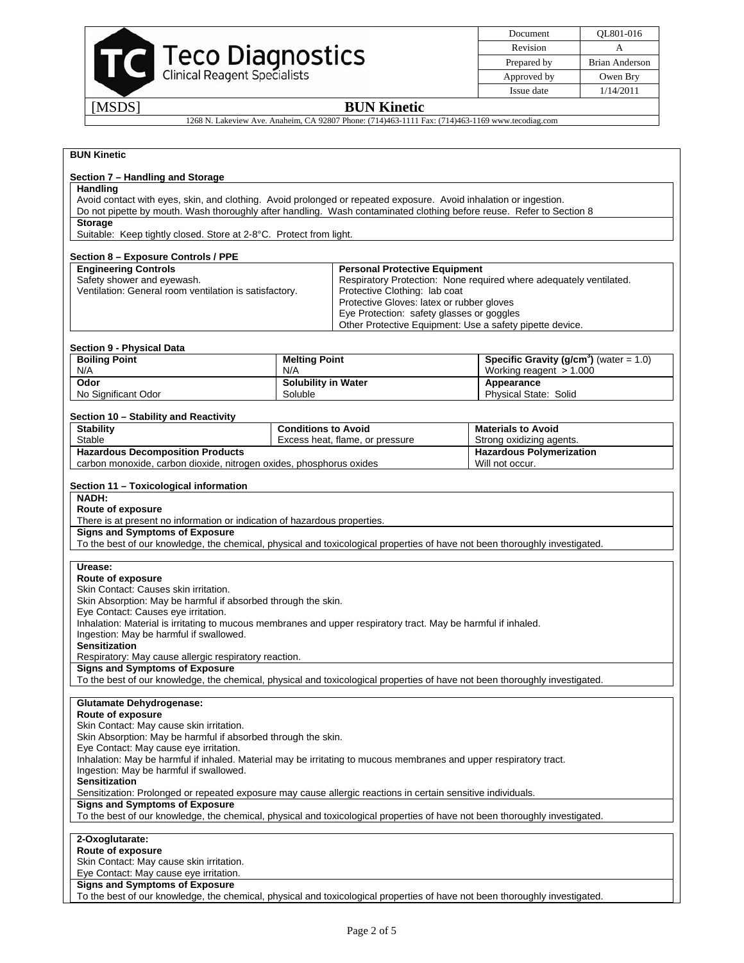

Document QL801-016 Revision A Prepared by Brian Anderson Approved by Owen Bry Issue date 1/14/2011

# [MSDS] **BUN Kinetic**

1268 N. Lakeview Ave. Anaheim, CA 92807 Phone: (714)463-1111 Fax: (714)463-1169 www.tecodiag.com

| <b>BUN Kinetic</b>                                                                                                                                                   |                                   |                                                                                        |                                                                    |  |  |
|----------------------------------------------------------------------------------------------------------------------------------------------------------------------|-----------------------------------|----------------------------------------------------------------------------------------|--------------------------------------------------------------------|--|--|
|                                                                                                                                                                      |                                   |                                                                                        |                                                                    |  |  |
| Section 7 - Handling and Storage<br>Handling                                                                                                                         |                                   |                                                                                        |                                                                    |  |  |
| Avoid contact with eyes, skin, and clothing. Avoid prolonged or repeated exposure. Avoid inhalation or ingestion.                                                    |                                   |                                                                                        |                                                                    |  |  |
| Do not pipette by mouth. Wash thoroughly after handling. Wash contaminated clothing before reuse. Refer to Section 8                                                 |                                   |                                                                                        |                                                                    |  |  |
| <b>Storage</b>                                                                                                                                                       |                                   |                                                                                        |                                                                    |  |  |
| Suitable: Keep tightly closed. Store at 2-8°C. Protect from light.                                                                                                   |                                   |                                                                                        |                                                                    |  |  |
| Section 8 - Exposure Controls / PPE                                                                                                                                  |                                   |                                                                                        |                                                                    |  |  |
| <b>Engineering Controls</b>                                                                                                                                          |                                   | <b>Personal Protective Equipment</b>                                                   |                                                                    |  |  |
| Safety shower and eyewash.                                                                                                                                           |                                   |                                                                                        | Respiratory Protection: None required where adequately ventilated. |  |  |
| Ventilation: General room ventilation is satisfactory.                                                                                                               |                                   | Protective Clothing: lab coat                                                          |                                                                    |  |  |
|                                                                                                                                                                      |                                   | Protective Gloves: latex or rubber gloves<br>Eye Protection: safety glasses or goggles |                                                                    |  |  |
|                                                                                                                                                                      |                                   |                                                                                        | Other Protective Equipment: Use a safety pipette device.           |  |  |
|                                                                                                                                                                      |                                   |                                                                                        |                                                                    |  |  |
| <b>Section 9 - Physical Data</b>                                                                                                                                     |                                   |                                                                                        |                                                                    |  |  |
| <b>Boiling Point</b>                                                                                                                                                 | <b>Melting Point</b>              |                                                                                        | <b>Specific Gravity (g/cm<sup>3</sup>)</b> (water = $1.0$ )        |  |  |
| N/A<br>Odor                                                                                                                                                          | N/A<br><b>Solubility in Water</b> |                                                                                        | Working reagent $> 1.000$<br>Appearance                            |  |  |
| No Significant Odor                                                                                                                                                  | Soluble                           |                                                                                        | Physical State: Solid                                              |  |  |
|                                                                                                                                                                      |                                   |                                                                                        |                                                                    |  |  |
| Section 10 - Stability and Reactivity                                                                                                                                |                                   |                                                                                        |                                                                    |  |  |
| <b>Stability</b>                                                                                                                                                     | <b>Conditions to Avoid</b>        |                                                                                        | <b>Materials to Avoid</b>                                          |  |  |
| Stable<br><b>Hazardous Decomposition Products</b>                                                                                                                    |                                   | Excess heat, flame, or pressure                                                        | Strong oxidizing agents.<br><b>Hazardous Polymerization</b>        |  |  |
| carbon monoxide, carbon dioxide, nitrogen oxides, phosphorus oxides                                                                                                  |                                   |                                                                                        | Will not occur.                                                    |  |  |
|                                                                                                                                                                      |                                   |                                                                                        |                                                                    |  |  |
| Section 11 - Toxicological information                                                                                                                               |                                   |                                                                                        |                                                                    |  |  |
| <b>NADH:</b><br>Route of exposure                                                                                                                                    |                                   |                                                                                        |                                                                    |  |  |
| There is at present no information or indication of hazardous properties.                                                                                            |                                   |                                                                                        |                                                                    |  |  |
| <b>Signs and Symptoms of Exposure</b>                                                                                                                                |                                   |                                                                                        |                                                                    |  |  |
| To the best of our knowledge, the chemical, physical and toxicological properties of have not been thoroughly investigated.                                          |                                   |                                                                                        |                                                                    |  |  |
|                                                                                                                                                                      |                                   |                                                                                        |                                                                    |  |  |
| Urease:<br>Route of exposure                                                                                                                                         |                                   |                                                                                        |                                                                    |  |  |
| Skin Contact: Causes skin irritation.                                                                                                                                |                                   |                                                                                        |                                                                    |  |  |
| Skin Absorption: May be harmful if absorbed through the skin.                                                                                                        |                                   |                                                                                        |                                                                    |  |  |
| Eye Contact: Causes eye irritation.                                                                                                                                  |                                   |                                                                                        |                                                                    |  |  |
| Inhalation: Material is irritating to mucous membranes and upper respiratory tract. May be harmful if inhaled.<br>Ingestion: May be harmful if swallowed.            |                                   |                                                                                        |                                                                    |  |  |
| <b>Sensitization</b>                                                                                                                                                 |                                   |                                                                                        |                                                                    |  |  |
| Respiratory: May cause allergic respiratory reaction.                                                                                                                |                                   |                                                                                        |                                                                    |  |  |
| <b>Signs and Symptoms of Exposure</b>                                                                                                                                |                                   |                                                                                        |                                                                    |  |  |
| To the best of our knowledge, the chemical, physical and toxicological properties of have not been thoroughly investigated.                                          |                                   |                                                                                        |                                                                    |  |  |
| <b>Glutamate Dehydrogenase:</b>                                                                                                                                      |                                   |                                                                                        |                                                                    |  |  |
| Route of exposure                                                                                                                                                    |                                   |                                                                                        |                                                                    |  |  |
| Skin Contact: May cause skin irritation.                                                                                                                             |                                   |                                                                                        |                                                                    |  |  |
| Skin Absorption: May be harmful if absorbed through the skin.                                                                                                        |                                   |                                                                                        |                                                                    |  |  |
| Eye Contact: May cause eye irritation.                                                                                                                               |                                   |                                                                                        |                                                                    |  |  |
| Inhalation: May be harmful if inhaled. Material may be irritating to mucous membranes and upper respiratory tract.<br>Ingestion: May be harmful if swallowed.        |                                   |                                                                                        |                                                                    |  |  |
| <b>Sensitization</b>                                                                                                                                                 |                                   |                                                                                        |                                                                    |  |  |
| Sensitization: Prolonged or repeated exposure may cause allergic reactions in certain sensitive individuals.                                                         |                                   |                                                                                        |                                                                    |  |  |
| <b>Signs and Symptoms of Exposure</b>                                                                                                                                |                                   |                                                                                        |                                                                    |  |  |
| To the best of our knowledge, the chemical, physical and toxicological properties of have not been thoroughly investigated.                                          |                                   |                                                                                        |                                                                    |  |  |
| 2-Oxoglutarate:                                                                                                                                                      |                                   |                                                                                        |                                                                    |  |  |
| Route of exposure                                                                                                                                                    |                                   |                                                                                        |                                                                    |  |  |
| Skin Contact: May cause skin irritation.                                                                                                                             |                                   |                                                                                        |                                                                    |  |  |
| Eye Contact: May cause eye irritation.                                                                                                                               |                                   |                                                                                        |                                                                    |  |  |
| <b>Signs and Symptoms of Exposure</b><br>To the best of our knowledge, the chemical, physical and toxicological properties of have not been thoroughly investigated. |                                   |                                                                                        |                                                                    |  |  |
|                                                                                                                                                                      |                                   |                                                                                        |                                                                    |  |  |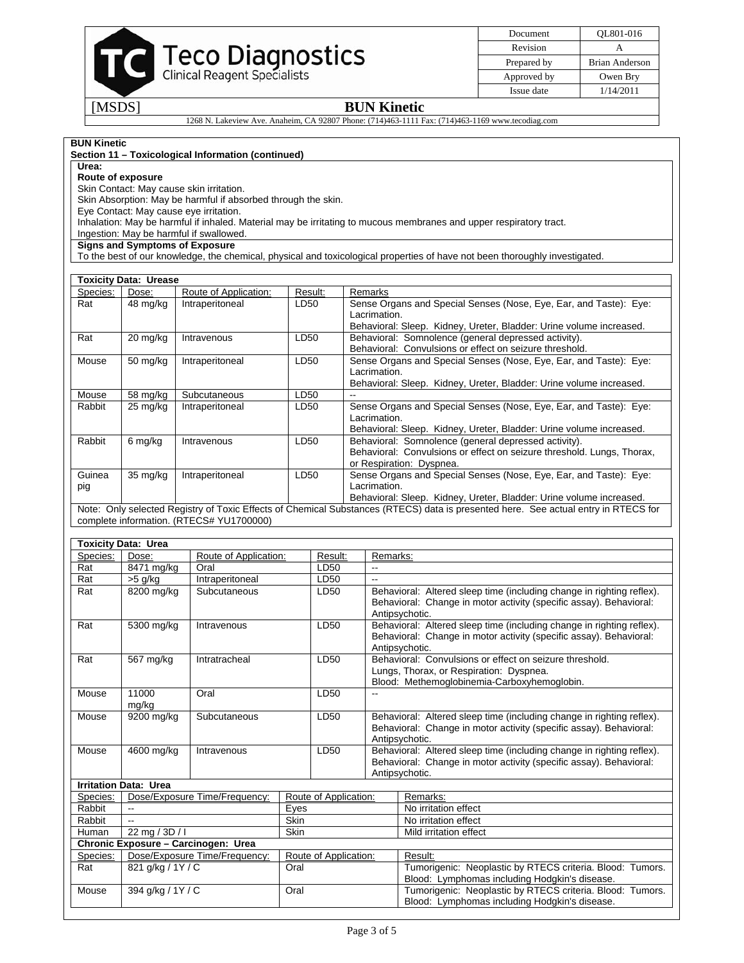

Document QL801-016 Revision A Prepared by **Brian Anderson** Approved by Owen Bry Issue date  $\boxed{1/14/2011}$ 

[MSDS] **BUN Kinetic**  1268 N. Lakeview Ave. Anaheim, CA 92807 Phone: (714)463-1111 Fax: (714)463-1169 www.tecodiag.com

### **BUN Kinetic**

### **Section 11 – Toxicological Information (continued)**

**Urea:** 

## **Route of exposure**

Skin Contact: May cause skin irritation.

Skin Absorption: May be harmful if absorbed through the skin.

Eye Contact: May cause eye irritation.

Inhalation: May be harmful if inhaled. Material may be irritating to mucous membranes and upper respiratory tract.

Ingestion: May be harmful if swallowed.

**Signs and Symptoms of Exposure** 

To the best of our knowledge, the chemical, physical and toxicological properties of have not been thoroughly investigated.

|            | <b>Toxicity Data: Urease</b> |                                          |         |                                                                                                                                    |
|------------|------------------------------|------------------------------------------|---------|------------------------------------------------------------------------------------------------------------------------------------|
| Species:   | Dose:                        | Route of Application:                    | Result: | Remarks                                                                                                                            |
| Rat        | 48 mg/kg                     | Intraperitoneal                          | LD50    | Sense Organs and Special Senses (Nose, Eye, Ear, and Taste): Eye:                                                                  |
|            |                              |                                          |         | Lacrimation.                                                                                                                       |
|            |                              |                                          |         | Behavioral: Sleep. Kidney, Ureter, Bladder: Urine volume increased.                                                                |
| Rat        | 20 mg/kg                     | Intravenous                              | LD50    | Behavioral: Somnolence (general depressed activity).                                                                               |
|            |                              |                                          |         | Behavioral: Convulsions or effect on seizure threshold.                                                                            |
| Mouse      | $50 \text{ mg/kg}$           | Intraperitoneal                          | LD50    | Sense Organs and Special Senses (Nose, Eye, Ear, and Taste): Eye:                                                                  |
|            |                              |                                          |         | Lacrimation.                                                                                                                       |
|            |                              |                                          |         | Behavioral: Sleep. Kidney, Ureter, Bladder: Urine volume increased.                                                                |
| Mouse      | 58 mg/kg                     | Subcutaneous                             | LD50    |                                                                                                                                    |
| Rabbit     | 25 mg/kg                     | Intraperitoneal                          | LD50    | Sense Organs and Special Senses (Nose, Eye, Ear, and Taste): Eye:                                                                  |
|            |                              |                                          |         | Lacrimation.                                                                                                                       |
|            |                              |                                          |         | Behavioral: Sleep. Kidney, Ureter, Bladder: Urine volume increased.                                                                |
| Rabbit     | 6 mg/kg                      | Intravenous                              | LD50    | Behavioral: Somnolence (general depressed activity).                                                                               |
|            |                              |                                          |         | Behavioral: Convulsions or effect on seizure threshold. Lungs, Thorax,                                                             |
|            |                              |                                          |         | or Respiration: Dyspnea.                                                                                                           |
| Guinea     | $35 \text{ mg/kg}$           | Intraperitoneal                          | LD50    | Sense Organs and Special Senses (Nose, Eye, Ear, and Taste): Eye:                                                                  |
| pig        |                              |                                          |         | Lacrimation.                                                                                                                       |
|            |                              |                                          |         | Behavioral: Sleep. Kidney, Ureter, Bladder: Urine volume increased.                                                                |
|            |                              |                                          |         | Note: Only selected Registry of Toxic Effects of Chemical Substances (RTECS) data is presented here. See actual entry in RTECS for |
|            |                              | complete information. (RTECS# YU1700000) |         |                                                                                                                                    |
|            |                              |                                          |         |                                                                                                                                    |
|            | <b>Toxicity Data: Urea</b>   |                                          |         |                                                                                                                                    |
| Snecies: I | Dose:                        | <b>Route of Annication:</b>              | Result: | Remarks:                                                                                                                           |

| Species: | Dose:                        | Route of Application:               |             | Result:               | Remarks:                                                                                                                                                      |                                                                                                                                                               |  |  |
|----------|------------------------------|-------------------------------------|-------------|-----------------------|---------------------------------------------------------------------------------------------------------------------------------------------------------------|---------------------------------------------------------------------------------------------------------------------------------------------------------------|--|--|
| Rat      | 8471 mg/kg                   | Oral                                |             | LD50                  |                                                                                                                                                               |                                                                                                                                                               |  |  |
| Rat      | $>5$ g/kg                    | Intraperitoneal                     |             | LD50                  | $\overline{a}$                                                                                                                                                |                                                                                                                                                               |  |  |
| Rat      | 8200 mg/kg                   | Subcutaneous                        |             | LD50                  | Behavioral: Altered sleep time (including change in righting reflex).<br>Behavioral: Change in motor activity (specific assay). Behavioral:<br>Antipsychotic. |                                                                                                                                                               |  |  |
| Rat      | 5300 mg/kg                   | Intravenous                         |             | LD50                  |                                                                                                                                                               | Behavioral: Altered sleep time (including change in righting reflex).<br>Behavioral: Change in motor activity (specific assay). Behavioral:<br>Antipsychotic. |  |  |
| Rat      | 567 mg/kg                    | Intratracheal                       |             | LD50                  |                                                                                                                                                               | Behavioral: Convulsions or effect on seizure threshold.<br>Lungs, Thorax, or Respiration: Dyspnea.<br>Blood: Methemoglobinemia-Carboxyhemoglobin.             |  |  |
| Mouse    | 11000<br>mg/kg               | Oral                                |             | LD50                  |                                                                                                                                                               |                                                                                                                                                               |  |  |
| Mouse    | 9200 mg/kg                   | Subcutaneous                        | LD50        |                       |                                                                                                                                                               | Behavioral: Altered sleep time (including change in righting reflex).<br>Behavioral: Change in motor activity (specific assay). Behavioral:<br>Antipsychotic. |  |  |
| Mouse    | 4600 mg/kg                   | Intravenous                         |             | LD50                  |                                                                                                                                                               | Behavioral: Altered sleep time (including change in righting reflex).<br>Behavioral: Change in motor activity (specific assay). Behavioral:<br>Antipsychotic. |  |  |
|          | <b>Irritation Data: Urea</b> |                                     |             |                       |                                                                                                                                                               |                                                                                                                                                               |  |  |
| Species: |                              | Dose/Exposure Time/Frequency:       |             | Route of Application: |                                                                                                                                                               | Remarks:                                                                                                                                                      |  |  |
| Rabbit   |                              |                                     | Eyes        |                       |                                                                                                                                                               | No irritation effect                                                                                                                                          |  |  |
| Rabbit   | $-1$                         |                                     | Skin        |                       |                                                                                                                                                               | No irritation effect                                                                                                                                          |  |  |
| Human    | 22 mg / 3D / I               |                                     | <b>Skin</b> |                       |                                                                                                                                                               | Mild irritation effect                                                                                                                                        |  |  |
|          |                              | Chronic Exposure - Carcinogen: Urea |             |                       |                                                                                                                                                               |                                                                                                                                                               |  |  |
| Species: |                              | Dose/Exposure Time/Frequency:       |             | Route of Application: |                                                                                                                                                               | Result:                                                                                                                                                       |  |  |
| Rat      | 821 g/kg / 1Y / C            |                                     | Oral        |                       |                                                                                                                                                               | Tumorigenic: Neoplastic by RTECS criteria. Blood: Tumors.<br>Blood: Lymphomas including Hodgkin's disease.                                                    |  |  |
| Mouse    | 394 g/kg / 1Y / C            |                                     | Oral        |                       |                                                                                                                                                               | Tumorigenic: Neoplastic by RTECS criteria. Blood: Tumors.<br>Blood: Lymphomas including Hodgkin's disease.                                                    |  |  |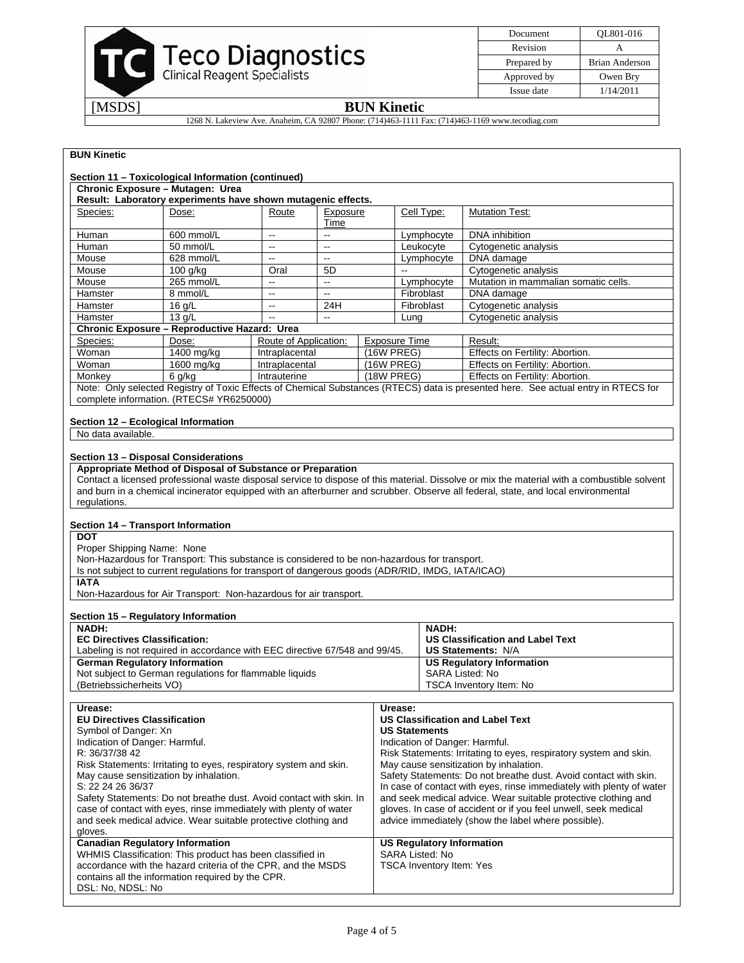

| Document    | OL801-016      |
|-------------|----------------|
| Revision    |                |
| Prepared by | Brian Anderson |
| Approved by | Owen Bry       |
| Issue date  | 1/14/2011      |

# [MSDS] **BUN Kinetic**

1268 N. Lakeview Ave. Anaheim, CA 92807 Phone: (714)463-1111 Fax: (714)463-1169 www.tecodiag.com

# **BUN Kinetic**

|                                                                                                                                                                                                                                                          | Section 11 - Toxicological Information (continued)<br>Chronic Exposure - Mutagen: Urea                                                                                                                                                                                                                                    |                          |                          |                                                                                        |                                                                                       |                                                                                                                                                                                                                                                                                                                                                                                                                                                                                                                                  |
|----------------------------------------------------------------------------------------------------------------------------------------------------------------------------------------------------------------------------------------------------------|---------------------------------------------------------------------------------------------------------------------------------------------------------------------------------------------------------------------------------------------------------------------------------------------------------------------------|--------------------------|--------------------------|----------------------------------------------------------------------------------------|---------------------------------------------------------------------------------------|----------------------------------------------------------------------------------------------------------------------------------------------------------------------------------------------------------------------------------------------------------------------------------------------------------------------------------------------------------------------------------------------------------------------------------------------------------------------------------------------------------------------------------|
|                                                                                                                                                                                                                                                          | Result: Laboratory experiments have shown mutagenic effects.                                                                                                                                                                                                                                                              |                          |                          |                                                                                        |                                                                                       |                                                                                                                                                                                                                                                                                                                                                                                                                                                                                                                                  |
| Species:                                                                                                                                                                                                                                                 | Dose:                                                                                                                                                                                                                                                                                                                     | Route                    | Exposure<br>Time         |                                                                                        | Cell Type:                                                                            | <b>Mutation Test:</b>                                                                                                                                                                                                                                                                                                                                                                                                                                                                                                            |
| Human                                                                                                                                                                                                                                                    | 600 mmol/L                                                                                                                                                                                                                                                                                                                | $\overline{\phantom{a}}$ | Ξ.                       |                                                                                        | Lymphocyte                                                                            | DNA inhibition                                                                                                                                                                                                                                                                                                                                                                                                                                                                                                                   |
| Human                                                                                                                                                                                                                                                    | 50 mmol/L                                                                                                                                                                                                                                                                                                                 | $\overline{\phantom{a}}$ | $\mathbf{u}$             |                                                                                        | Leukocyte                                                                             | Cytogenetic analysis                                                                                                                                                                                                                                                                                                                                                                                                                                                                                                             |
| Mouse                                                                                                                                                                                                                                                    | 628 mmol/L                                                                                                                                                                                                                                                                                                                | $\overline{a}$           | $\overline{a}$           |                                                                                        | Lymphocyte                                                                            | DNA damage                                                                                                                                                                                                                                                                                                                                                                                                                                                                                                                       |
| Mouse                                                                                                                                                                                                                                                    | 100 g/kg                                                                                                                                                                                                                                                                                                                  | Oral                     | 5D                       | $\overline{a}$                                                                         |                                                                                       | Cytogenetic analysis                                                                                                                                                                                                                                                                                                                                                                                                                                                                                                             |
| Mouse                                                                                                                                                                                                                                                    | 265 mmol/L                                                                                                                                                                                                                                                                                                                | ă.                       | ă.                       |                                                                                        | Lymphocyte                                                                            | Mutation in mammalian somatic cells.                                                                                                                                                                                                                                                                                                                                                                                                                                                                                             |
| Hamster                                                                                                                                                                                                                                                  | 8 mmol/L                                                                                                                                                                                                                                                                                                                  | $\overline{\phantom{a}}$ | $\overline{\phantom{a}}$ |                                                                                        | Fibroblast                                                                            | DNA damage                                                                                                                                                                                                                                                                                                                                                                                                                                                                                                                       |
| Hamster                                                                                                                                                                                                                                                  | $16$ g/L                                                                                                                                                                                                                                                                                                                  | $\bar{\phantom{a}}$      | 24H                      |                                                                                        | Fibroblast                                                                            | Cytogenetic analysis                                                                                                                                                                                                                                                                                                                                                                                                                                                                                                             |
| Hamster                                                                                                                                                                                                                                                  | 13 q/L                                                                                                                                                                                                                                                                                                                    | $\sim$                   | ш.                       |                                                                                        | Lung                                                                                  | Cytogenetic analysis                                                                                                                                                                                                                                                                                                                                                                                                                                                                                                             |
|                                                                                                                                                                                                                                                          | Chronic Exposure - Reproductive Hazard: Urea                                                                                                                                                                                                                                                                              |                          |                          |                                                                                        |                                                                                       |                                                                                                                                                                                                                                                                                                                                                                                                                                                                                                                                  |
| Species:                                                                                                                                                                                                                                                 | Dose:                                                                                                                                                                                                                                                                                                                     | Route of Application:    |                          | <b>Exposure Time</b>                                                                   |                                                                                       | Result:                                                                                                                                                                                                                                                                                                                                                                                                                                                                                                                          |
| Woman                                                                                                                                                                                                                                                    | 1400 mg/kg                                                                                                                                                                                                                                                                                                                | Intraplacental           |                          | $(16W$ PREG)                                                                           |                                                                                       | Effects on Fertility: Abortion.                                                                                                                                                                                                                                                                                                                                                                                                                                                                                                  |
| Woman                                                                                                                                                                                                                                                    | 1600 mg/kg                                                                                                                                                                                                                                                                                                                | Intraplacental           |                          | $(16W$ PREG)                                                                           |                                                                                       | Effects on Fertility: Abortion.                                                                                                                                                                                                                                                                                                                                                                                                                                                                                                  |
| Monkey                                                                                                                                                                                                                                                   | 6 g/kg                                                                                                                                                                                                                                                                                                                    | Intrauterine             |                          | (18W PREG)                                                                             |                                                                                       | Effects on Fertility: Abortion.<br>Note: Only selected Registry of Toxic Effects of Chemical Substances (RTECS) data is presented here. See actual entry in RTECS for                                                                                                                                                                                                                                                                                                                                                            |
|                                                                                                                                                                                                                                                          | complete information. (RTECS# YR6250000)<br>Section 12 - Ecological Information                                                                                                                                                                                                                                           |                          |                          |                                                                                        |                                                                                       |                                                                                                                                                                                                                                                                                                                                                                                                                                                                                                                                  |
| No data available.                                                                                                                                                                                                                                       |                                                                                                                                                                                                                                                                                                                           |                          |                          |                                                                                        |                                                                                       |                                                                                                                                                                                                                                                                                                                                                                                                                                                                                                                                  |
| <b>DOT</b><br>Proper Shipping Name: None<br><b>IATA</b>                                                                                                                                                                                                  | Section 14 - Transport Information<br>Non-Hazardous for Transport: This substance is considered to be non-hazardous for transport.<br>Is not subject to current regulations for transport of dangerous goods (ADR/RID, IMDG, IATA/ICAO)<br>Non-Hazardous for Air Transport: Non-hazardous for air transport.              |                          |                          |                                                                                        |                                                                                       |                                                                                                                                                                                                                                                                                                                                                                                                                                                                                                                                  |
|                                                                                                                                                                                                                                                          | Section 15 - Regulatory Information                                                                                                                                                                                                                                                                                       |                          |                          |                                                                                        |                                                                                       |                                                                                                                                                                                                                                                                                                                                                                                                                                                                                                                                  |
| <b>NADH:</b><br><b>EC Directives Classification:</b><br>Labeling is not required in accordance with EEC directive 67/548 and 99/45.                                                                                                                      |                                                                                                                                                                                                                                                                                                                           |                          |                          |                                                                                        | <b>NADH:</b>                                                                          | <b>US Classification and Label Text</b><br><b>US Statements: N/A</b>                                                                                                                                                                                                                                                                                                                                                                                                                                                             |
| <b>German Regulatory Information</b><br>Not subject to German regulations for flammable liquids<br>(Betriebssicherheits VO)                                                                                                                              |                                                                                                                                                                                                                                                                                                                           |                          |                          |                                                                                        | <b>US Regulatory Information</b><br><b>SARA Listed: No</b><br>TSCA Inventory Item: No |                                                                                                                                                                                                                                                                                                                                                                                                                                                                                                                                  |
|                                                                                                                                                                                                                                                          |                                                                                                                                                                                                                                                                                                                           |                          |                          |                                                                                        |                                                                                       |                                                                                                                                                                                                                                                                                                                                                                                                                                                                                                                                  |
| Urease:<br><b>EU Directives Classification</b><br>Symbol of Danger: Xn<br>Indication of Danger: Harmful.<br>R: 36/37/38 42<br>S: 22 24 26 36/37                                                                                                          | Risk Statements: Irritating to eyes, respiratory system and skin.<br>May cause sensitization by inhalation.<br>Safety Statements: Do not breathe dust. Avoid contact with skin. In<br>case of contact with eyes, rinse immediately with plenty of water<br>and seek medical advice. Wear suitable protective clothing and |                          |                          | Urease:                                                                                | <b>US Statements</b>                                                                  | <b>US Classification and Label Text</b><br>Indication of Danger: Harmful.<br>Risk Statements: Irritating to eyes, respiratory system and skin.<br>May cause sensitization by inhalation.<br>Safety Statements: Do not breathe dust. Avoid contact with skin.<br>In case of contact with eyes, rinse immediately with plenty of water<br>and seek medical advice. Wear suitable protective clothing and<br>gloves. In case of accident or if you feel unwell, seek medical<br>advice immediately (show the label where possible). |
| gloves.<br><b>Canadian Regulatory Information</b><br>WHMIS Classification: This product has been classified in<br>accordance with the hazard criteria of the CPR, and the MSDS<br>contains all the information required by the CPR.<br>DSL: No, NDSL: No |                                                                                                                                                                                                                                                                                                                           |                          |                          | <b>US Regulatory Information</b><br>SARA Listed: No<br><b>TSCA Inventory Item: Yes</b> |                                                                                       |                                                                                                                                                                                                                                                                                                                                                                                                                                                                                                                                  |